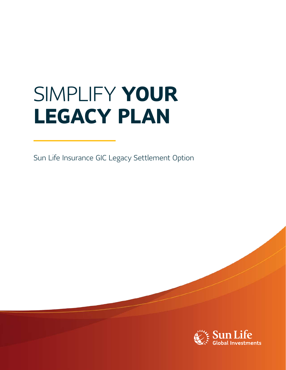# SIMPLIFY **YOUR LEGACY PLAN**

Sun Life Insurance GIC Legacy Settlement Option

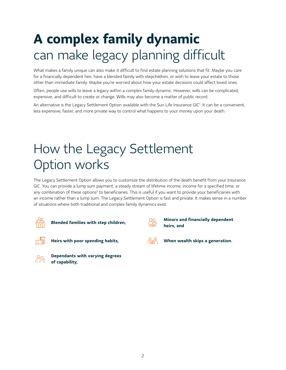# **A complex family dynamic**  can make legacy planning difficult

What makes a family unique can also make it difficult to find estate planning solutions that fit. Maybe you care for a financially dependent heir, have a blended family with stepchildren, or wish to leave your estate to those other than immediate family. Maybe you're worried about how your estate decisions could affect loved ones.

Often, people use wills to leave a legacy within a complex family dynamic. However, wills can be complicated, expensive, and difficult to create or change. Wills may also become a matter of public record.

An alternative is the Legacy Settlement Option available with the Sun Life Insurance GI[C1](#page-3-0). It can be a convenient, less expensive, faster, and more private way to control what happens to your money upon your death.

# How the Legacy Settlement Option works

The Legacy Settlement Option allows you to customize the distribution of the death benefit from your Insurance GIC. You can provide a lump sum payment, a steady stream of lifetime income, income for a specified time, or any combination of these options<sup>2</sup> to beneficiaries. This is useful if you want to provide your beneficiaries with an income rather than a lump sum. The Legacy Settlement Option is fast and private. It makes sense in a number of situations where both traditional and complex family dynamics exist:



<span id="page-1-1"></span>**heirs, and <b>Blended families with step children**, **Blended families with step children**,



<span id="page-1-0"></span>**Minors and financially dependent** 





**Dependants with varying degrees of capability,**



**Heirs with poor spending habits, When wealth skips a generation.**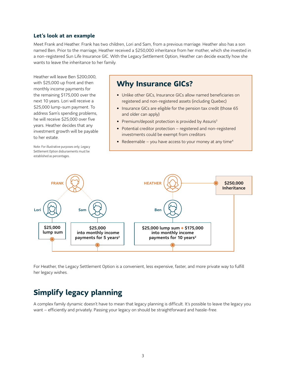#### **Let's look at an example**

Meet Frank and Heather. Frank has two children, Lori and Sam, from a previous marriage. Heather also has a son named Ben. Prior to the marriage, Heather received a \$250,000 inheritance from her mother, which she invested in a non-registered Sun Life Insurance GIC. With the Legacy Settlement Option, Heather can decide exactly how she wants to leave the inheritance to her family.

Heather will leave Ben \$200,000, with \$25,000 up front and then monthly income payments for the remaining \$175,000 over the next 10 years. Lori will receive a \$25,000 lump-sum payment. To address Sam's spending problems, he will receive \$25,000 over five years. Heather decides that any investment growth will be payable to her estate.

Note: For illustrative purposes only; Legacy Settlement Option disbursements must be established as percentages.

### **Why Insurance GICs?**

- Unlike other GICs, Insurance GICs allow named beneficiaries on registered and non-registered assets (including Quebec)
- Insurance GICs are eligible for the pension tax credit (those 65 and older can apply)
- <span id="page-2-0"></span>• Premium/deposit protection is provided by Assuris<sup>3</sup>
- Potential creditor protection registered and non-registered investments could be exempt from creditors
- <span id="page-2-1"></span>• Redeemable – you have access to your money at any time<sup>[4](#page-3-3)</sup>



For Heather, the Legacy Settlement Option is a convenient, less expensive, faster, and more private way to fulfill her legacy wishes.

## **Simplify legacy planning**

A complex family dynamic doesn't have to mean that legacy planning is difficult. It's possible to leave the legacy you want – efficiently and privately. Passing your legacy on should be straightforward and hassle-free.